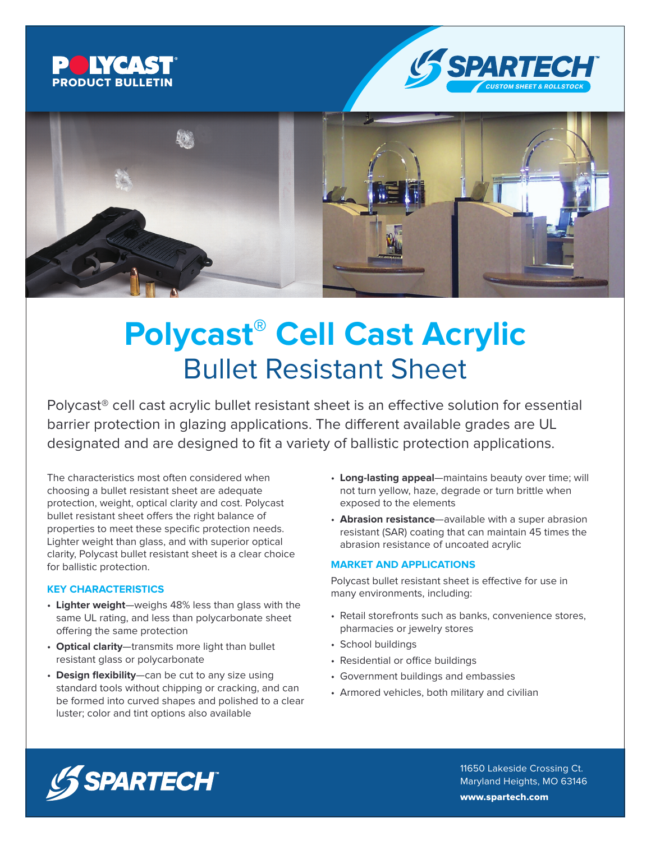





# **Polycast® Cell Cast Acrylic** Bullet Resistant Sheet

Polycast® cell cast acrylic bullet resistant sheet is an effective solution for essential barrier protection in glazing applications. The different available grades are UL designated and are designed to fit a variety of ballistic protection applications.

The characteristics most often considered when choosing a bullet resistant sheet are adequate protection, weight, optical clarity and cost. Polycast bullet resistant sheet offers the right balance of properties to meet these specific protection needs. Lighter weight than glass, and with superior optical clarity, Polycast bullet resistant sheet is a clear choice for ballistic protection.

#### **KEY CHARACTERISTICS**

- **Lighter weight**—weighs 48% less than glass with the same UL rating, and less than polycarbonate sheet offering the same protection
- **Optical clarity**—transmits more light than bullet resistant glass or polycarbonate
- **Design flexibility**—can be cut to any size using standard tools without chipping or cracking, and can be formed into curved shapes and polished to a clear luster; color and tint options also available
- **Long-lasting appeal**—maintains beauty over time; will not turn yellow, haze, degrade or turn brittle when exposed to the elements
- **Abrasion resistance**—available with a super abrasion resistant (SAR) coating that can maintain 45 times the abrasion resistance of uncoated acrylic

#### **MARKET AND APPLICATIONS**

Polycast bullet resistant sheet is effective for use in many environments, including:

- Retail storefronts such as banks, convenience stores, pharmacies or jewelry stores
- School buildings
- Residential or office buildings
- Government buildings and embassies
- Armored vehicles, both military and civilian



11650 Lakeside Crossing Ct. Maryland Heights, MO 63146 www.spartech.com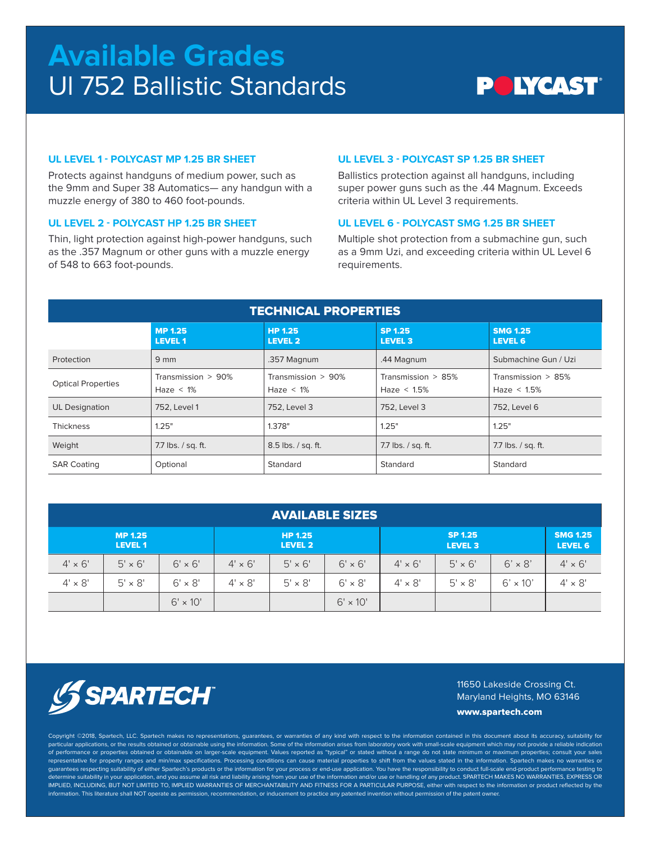# **Available Grades** Ul 752 Ballistic Standards

### **POIYCAST®**

#### **UL LEVEL 1 - POLYCAST MP 1.25 BR SHEET**

Protects against handguns of medium power, such as the 9mm and Super 38 Automatics— any handgun with a muzzle energy of 380 to 460 foot-pounds.

#### **UL LEVEL 2 - POLYCAST HP 1.25 BR SHEET**

Thin, light protection against high-power handguns, such as the .357 Magnum or other guns with a muzzle energy of 548 to 663 foot-pounds.

#### **UL LEVEL 3 - POLYCAST SP 1.25 BR SHEET**

Ballistics protection against all handguns, including super power guns such as the .44 Magnum. Exceeds criteria within UL Level 3 requirements.

#### **UL LEVEL 6 - POLYCAST SMG 1.25 BR SHEET**

Multiple shot protection from a submachine gun, such as a 9mm Uzi, and exceeding criteria within UL Level 6 requirements.

| <b>TECHNICAL PROPERTIES</b> |                                         |                                    |                                         |                                      |  |  |  |  |  |  |
|-----------------------------|-----------------------------------------|------------------------------------|-----------------------------------------|--------------------------------------|--|--|--|--|--|--|
|                             | <b>MP 1.25</b><br>LEVEL 1               | <b>HP 1.25</b><br><b>LEVEL 2</b>   | <b>SP 1.25</b><br><b>LEVEL 3</b>        | <b>SMG 1.25</b><br><b>LEVEL 6</b>    |  |  |  |  |  |  |
| Protection                  | $9 \text{ mm}$                          | .357 Magnum                        | .44 Magnum                              | Submachine Gun / Uzi                 |  |  |  |  |  |  |
| <b>Optical Properties</b>   | Transmission $> 90\%$<br>Haze $\leq$ 1% | Transmission > 90%<br>Haze $< 1\%$ | Transmission $> 85\%$<br>Haze $< 1.5\%$ | Transmission > 85%<br>Haze $< 1.5\%$ |  |  |  |  |  |  |
| <b>UL Designation</b>       | 752. Level 1                            | 752. Level 3                       | 752. Level 3                            | 752. Level 6                         |  |  |  |  |  |  |
| <b>Thickness</b>            | 1.25"                                   | 1.378"                             | 1.25"                                   | 1.25"                                |  |  |  |  |  |  |
| Weight                      | 7.7 lbs. / sq. ft.                      | 8.5 lbs. / sq. ft.                 | 7.7 lbs. / sq. ft.                      | 7.7 lbs. / sq. ft.                   |  |  |  |  |  |  |
| <b>SAR Coating</b>          | Optional                                | Standard                           | Standard                                | Standard                             |  |  |  |  |  |  |

| <b>AVAILABLE SIZES</b>           |                |                           |                |                           |                 |                |                                   |                 |                |  |  |  |
|----------------------------------|----------------|---------------------------|----------------|---------------------------|-----------------|----------------|-----------------------------------|-----------------|----------------|--|--|--|
| <b>MP 1.25</b><br><b>LEVEL 1</b> |                | <b>HP 1.25</b><br>LEVEL 2 |                | SP 1.25<br><b>LEVEL 3</b> |                 |                | <b>SMG 1.25</b><br><b>LEVEL 6</b> |                 |                |  |  |  |
| $4' \times 6'$                   | $5' \times 6'$ | $6' \times 6'$            | $4' \times 6'$ | $5' \times 6'$            | $6' \times 6'$  | $4' \times 6'$ | $5' \times 6'$                    | $6' \times 8'$  | $4' \times 6'$ |  |  |  |
| $4' \times 8'$                   | $5' \times 8'$ | $6' \times 8'$            | $4' \times 8'$ | $5' \times 8'$            | $6' \times 8'$  | $4' \times 8'$ | $5' \times 8'$                    | $6' \times 10'$ | $4' \times 8'$ |  |  |  |
|                                  |                | $6' \times 10'$           |                |                           | $6' \times 10'$ |                |                                   |                 |                |  |  |  |



11650 Lakeside Crossing Ct. Maryland Heights, MO 63146

www.spartech.com

Copyright ©2018, Spartech, LLC. Spartech makes no representations, guarantees, or warranties of any kind with respect to the information contained in this document about its accuracy, suitability for particular applications, or the results obtained or obtainable using the information. Some of the information arises from laboratory work with small-scale equipment which may not provide a reliable indication of performance or properties obtained or obtainable on larger-scale equipment. Values reported as "typical" or stated without a range do not state minimum or maximum properties; consult your sales representative for property ranges and min/max specifications. Processing conditions can cause material properties to shift from the values stated in the information. Spartech makes no warranties or quarantees respecting suitability of either Spartech's products or the information for your process or end-use application. You have the responsibility to conduct full-scale end-product performance testing to determine suitability in your application, and you assume all risk and liability arising from your use of the information and/or use or handling of any product. SPARTECH MAKES NO WARRANTIES, EXPRESS OR IMPLIED, INCLUDING, BUT NOT LIMITED TO, IMPLIED WARRANTIES OF MERCHANTABILITY AND FITNESS FOR A PARTICULAR PURPOSE, either with respect to the information or product reflected by the information. This literature shall NOT operate as permission, recommendation, or inducement to practice any patented invention without permission of the patent owner.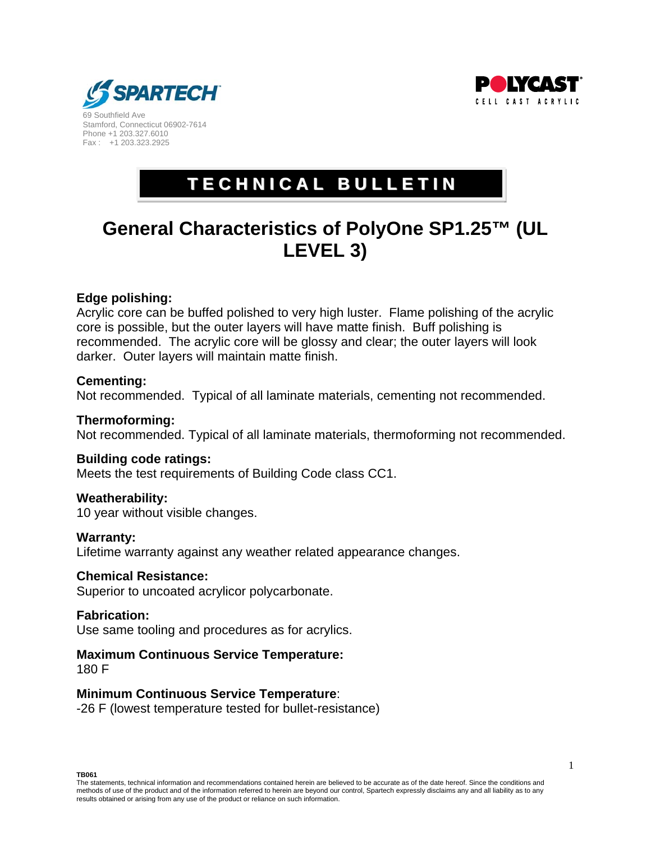



69 Southfield Ave Stamford, Connecticut 06902-7614 Phone +1 203.327.6010 Fax : +1 203.323.2925

### **T E C H N I C A L B U L L E T I N**

### **General Characteristics of PolyOne SP1.25™ (UL LEVEL 3)**

#### **Edge polishing:**

Acrylic core can be buffed polished to very high luster. Flame polishing of the acrylic core is possible, but the outer layers will have matte finish. Buff polishing is recommended. The acrylic core will be glossy and clear; the outer layers will look darker. Outer layers will maintain matte finish.

#### **Cementing:**

Not recommended. Typical of all laminate materials, cementing not recommended.

#### **Thermoforming:**

Not recommended. Typical of all laminate materials, thermoforming not recommended.

#### **Building code ratings:**

Meets the test requirements of Building Code class CC1.

#### **Weatherability:**

10 year without visible changes.

#### **Warranty:**

Lifetime warranty against any weather related appearance changes.

#### **Chemical Resistance:**

Superior to uncoated acrylicor polycarbonate.

#### **Fabrication:**

Use same tooling and procedures as for acrylics.

#### **Maximum Continuous Service Temperature:**

180 F

#### **Minimum Continuous Service Temperature**:

-26 F (lowest temperature tested for bullet-resistance)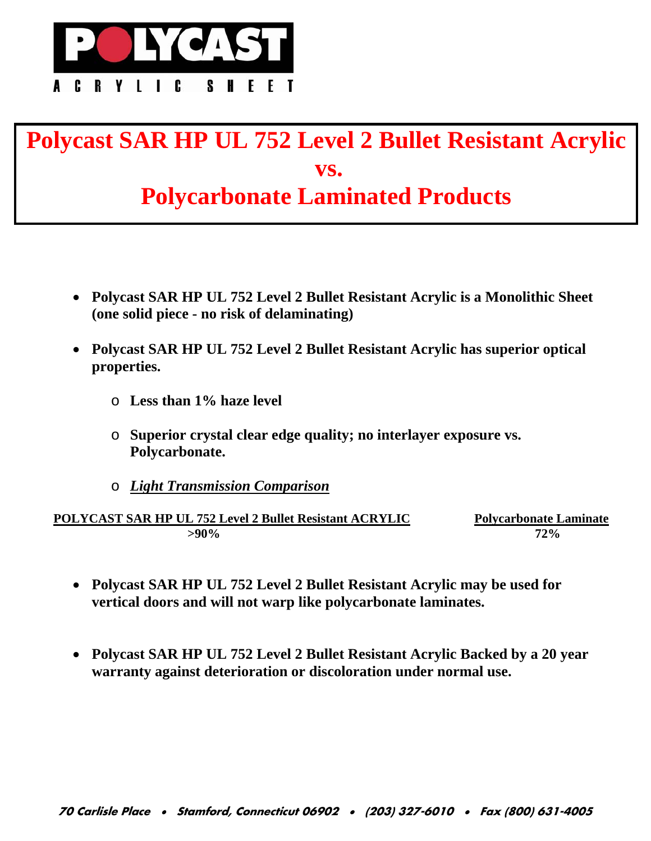

## **Polycast SAR HP UL 752 Level 2 Bullet Resistant Acrylic vs. Polycarbonate Laminated Products**

- **Polycast SAR HP UL 752 Level 2 Bullet Resistant Acrylic is a Monolithic Sheet (one solid piece - no risk of delaminating)**
- **Polycast SAR HP UL 752 Level 2 Bullet Resistant Acrylic has superior optical properties.** 
	- o **Less than 1% haze level**
	- o **Superior crystal clear edge quality; no interlayer exposure vs. Polycarbonate.**
	- o *Light Transmission Comparison*

**POLYCAST SAR HP UL 752 Level 2 Bullet Resistant ACRYLIC Polycarbonate Laminate >90% 72%**

- **Polycast SAR HP UL 752 Level 2 Bullet Resistant Acrylic may be used for vertical doors and will not warp like polycarbonate laminates.**
- **Polycast SAR HP UL 752 Level 2 Bullet Resistant Acrylic Backed by a 20 year warranty against deterioration or discoloration under normal use.**